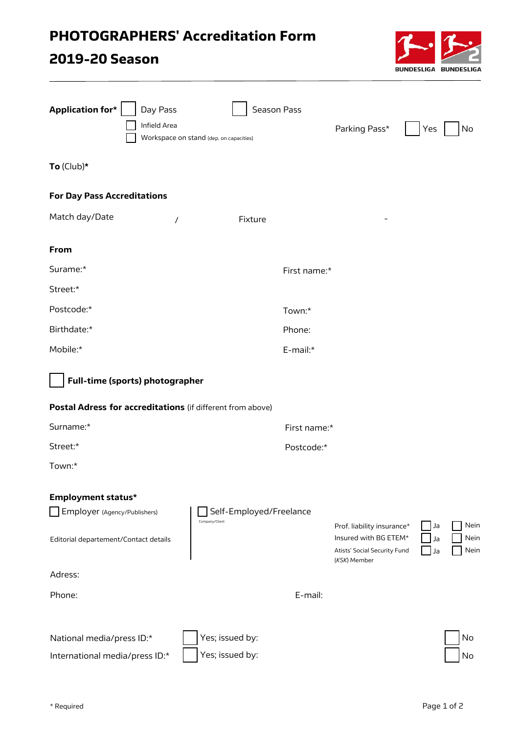## PHOTOGRAPHERS' Accreditation Form

## 2019-20 Season



| <b>Application for*</b><br>Day Pass<br>Infield Area        | Season Pass<br>Workspace on stand (dep. on capacities) |              | Parking Pass*                                                                                       | Yes            | No                   |  |  |  |
|------------------------------------------------------------|--------------------------------------------------------|--------------|-----------------------------------------------------------------------------------------------------|----------------|----------------------|--|--|--|
| To $(Club)*$                                               |                                                        |              |                                                                                                     |                |                      |  |  |  |
| <b>For Day Pass Accreditations</b>                         |                                                        |              |                                                                                                     |                |                      |  |  |  |
| Match day/Date<br>$\prime$                                 | Fixture                                                |              |                                                                                                     |                |                      |  |  |  |
| From                                                       |                                                        |              |                                                                                                     |                |                      |  |  |  |
| Surame:*                                                   |                                                        | First name:* |                                                                                                     |                |                      |  |  |  |
| Street:*                                                   |                                                        |              |                                                                                                     |                |                      |  |  |  |
| Postcode:*                                                 |                                                        | Town:*       |                                                                                                     |                |                      |  |  |  |
| Birthdate:*                                                |                                                        | Phone:       |                                                                                                     |                |                      |  |  |  |
| Mobile:*                                                   |                                                        | E-mail:*     |                                                                                                     |                |                      |  |  |  |
| Full-time (sports) photographer                            |                                                        |              |                                                                                                     |                |                      |  |  |  |
| Postal Adress for accreditations (if different from above) |                                                        |              |                                                                                                     |                |                      |  |  |  |
| Surname:*                                                  |                                                        | First name:* |                                                                                                     |                |                      |  |  |  |
| Street:*                                                   |                                                        | Postcode:*   |                                                                                                     |                |                      |  |  |  |
| Town:*                                                     |                                                        |              |                                                                                                     |                |                      |  |  |  |
| <b>Employment status*</b>                                  |                                                        |              |                                                                                                     |                |                      |  |  |  |
| Employer (Agency/Publishers)                               | Self-Employed/Freelance<br>Company/Client              |              |                                                                                                     |                |                      |  |  |  |
| Editorial departement/Contact details                      |                                                        |              | Prof. liability insurance*<br>Insured with BG ETEM*<br>Atists' Social Security Fund<br>(KSK) Member | Ja<br>Ja<br>Ja | Nein<br>Nein<br>Nein |  |  |  |
| Adress:                                                    |                                                        |              |                                                                                                     |                |                      |  |  |  |
| Phone:                                                     |                                                        | E-mail:      |                                                                                                     |                |                      |  |  |  |
| National media/press ID:*                                  | Yes; issued by:                                        |              |                                                                                                     |                | No                   |  |  |  |
| International media/press ID:*                             | Yes; issued by:                                        |              |                                                                                                     |                | No                   |  |  |  |